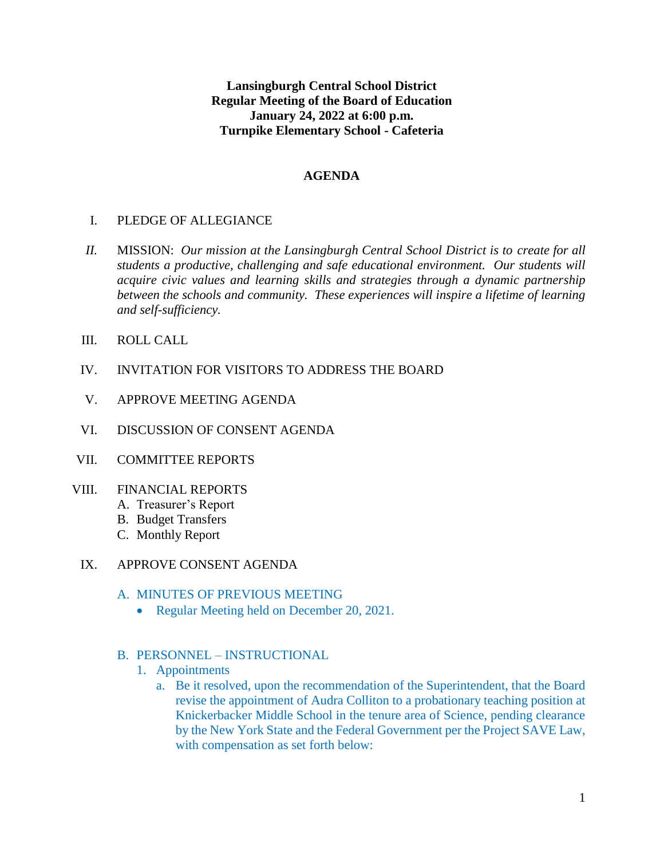**Lansingburgh Central School District Regular Meeting of the Board of Education January 24, 2022 at 6:00 p.m. Turnpike Elementary School - Cafeteria**

#### **AGENDA**

## I. PLEDGE OF ALLEGIANCE

- *II.* MISSION: *Our mission at the Lansingburgh Central School District is to create for all students a productive, challenging and safe educational environment. Our students will acquire civic values and learning skills and strategies through a dynamic partnership between the schools and community. These experiences will inspire a lifetime of learning and self-sufficiency.*
- III. ROLL CALL
- IV. INVITATION FOR VISITORS TO ADDRESS THE BOARD
- V. APPROVE MEETING AGENDA
- VI. DISCUSSION OF CONSENT AGENDA
- VII. COMMITTEE REPORTS

#### VIII. FINANCIAL REPORTS

- A. Treasurer's Report
- B. Budget Transfers
- C. Monthly Report
- IX. APPROVE CONSENT AGENDA

#### A. MINUTES OF PREVIOUS MEETING

• Regular Meeting held on December 20, 2021.

#### B. PERSONNEL – INSTRUCTIONAL

- 1. Appointments
	- a. Be it resolved, upon the recommendation of the Superintendent, that the Board revise the appointment of Audra Colliton to a probationary teaching position at Knickerbacker Middle School in the tenure area of Science, pending clearance by the New York State and the Federal Government per the Project SAVE Law, with compensation as set forth below: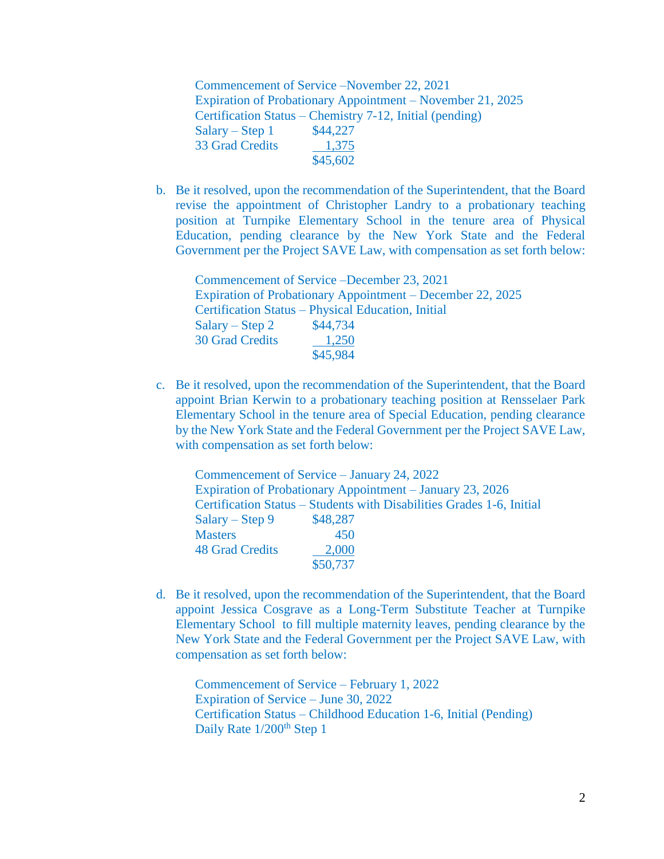Commencement of Service –November 22, 2021 Expiration of Probationary Appointment – November 21, 2025 Certification Status – Chemistry 7-12, Initial (pending)  $Salary - Step 1$  \$44,227 33 Grad Credits 1,375 \$45,602

b. Be it resolved, upon the recommendation of the Superintendent, that the Board revise the appointment of Christopher Landry to a probationary teaching position at Turnpike Elementary School in the tenure area of Physical Education, pending clearance by the New York State and the Federal Government per the Project SAVE Law, with compensation as set forth below:

Commencement of Service –December 23, 2021 Expiration of Probationary Appointment – December 22, 2025 Certification Status – Physical Education, Initial  $Salary - Step 2 \qquad $44,734$ 30 Grad Credits 1,250 \$45,984

c. Be it resolved, upon the recommendation of the Superintendent, that the Board appoint Brian Kerwin to a probationary teaching position at Rensselaer Park Elementary School in the tenure area of Special Education, pending clearance by the New York State and the Federal Government per the Project SAVE Law, with compensation as set forth below:

| Commencement of Service – January 24, 2022 |          |                                                                       |
|--------------------------------------------|----------|-----------------------------------------------------------------------|
|                                            |          | <b>Expiration of Probationary Appointment – January 23, 2026</b>      |
|                                            |          | Certification Status – Students with Disabilities Grades 1-6, Initial |
| Salary – Step 9                            | \$48,287 |                                                                       |
| <b>Masters</b>                             | 450      |                                                                       |
| <b>48 Grad Credits</b>                     | 2,000    |                                                                       |
|                                            | \$50,737 |                                                                       |

d. Be it resolved, upon the recommendation of the Superintendent, that the Board appoint Jessica Cosgrave as a Long-Term Substitute Teacher at Turnpike Elementary School to fill multiple maternity leaves, pending clearance by the New York State and the Federal Government per the Project SAVE Law, with compensation as set forth below:

Commencement of Service – February 1, 2022 Expiration of Service – June 30, 2022 Certification Status – Childhood Education 1-6, Initial (Pending) Daily Rate 1/200<sup>th</sup> Step 1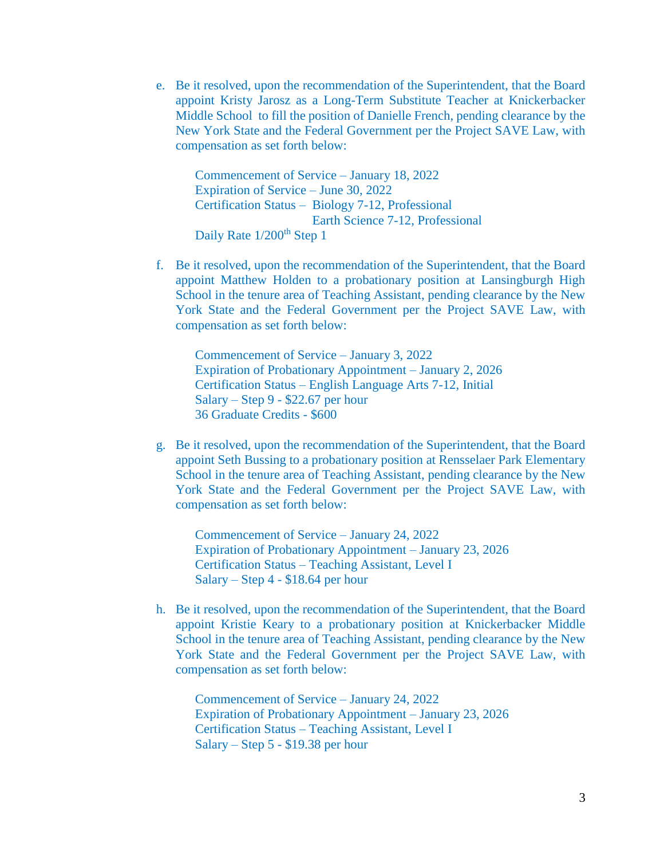e. Be it resolved, upon the recommendation of the Superintendent, that the Board appoint Kristy Jarosz as a Long-Term Substitute Teacher at Knickerbacker Middle School to fill the position of Danielle French, pending clearance by the New York State and the Federal Government per the Project SAVE Law, with compensation as set forth below:

Commencement of Service – January 18, 2022 Expiration of Service – June 30, 2022 Certification Status – Biology 7-12, Professional Earth Science 7-12, Professional Daily Rate 1/200<sup>th</sup> Step 1

f. Be it resolved, upon the recommendation of the Superintendent, that the Board appoint Matthew Holden to a probationary position at Lansingburgh High School in the tenure area of Teaching Assistant, pending clearance by the New York State and the Federal Government per the Project SAVE Law, with compensation as set forth below:

Commencement of Service – January 3, 2022 Expiration of Probationary Appointment – January 2, 2026 Certification Status – English Language Arts 7-12, Initial Salary – Step 9 - \$22.67 per hour 36 Graduate Credits - \$600

g. Be it resolved, upon the recommendation of the Superintendent, that the Board appoint Seth Bussing to a probationary position at Rensselaer Park Elementary School in the tenure area of Teaching Assistant, pending clearance by the New York State and the Federal Government per the Project SAVE Law, with compensation as set forth below:

Commencement of Service – January 24, 2022 Expiration of Probationary Appointment – January 23, 2026 Certification Status – Teaching Assistant, Level I Salary – Step 4 - \$18.64 per hour

h. Be it resolved, upon the recommendation of the Superintendent, that the Board appoint Kristie Keary to a probationary position at Knickerbacker Middle School in the tenure area of Teaching Assistant, pending clearance by the New York State and the Federal Government per the Project SAVE Law, with compensation as set forth below:

Commencement of Service – January 24, 2022 Expiration of Probationary Appointment – January 23, 2026 Certification Status – Teaching Assistant, Level I Salary – Step 5 - \$19.38 per hour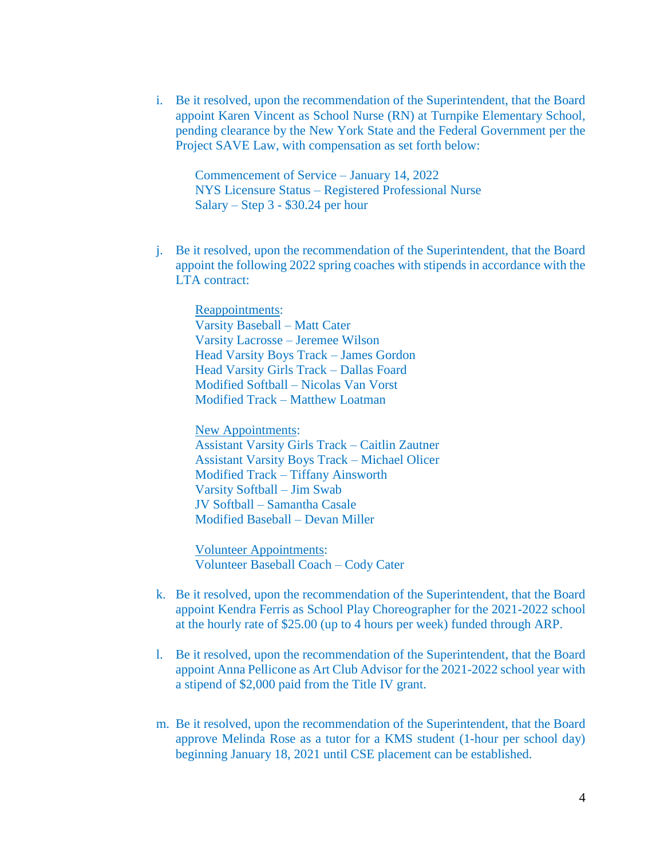i. Be it resolved, upon the recommendation of the Superintendent, that the Board appoint Karen Vincent as School Nurse (RN) at Turnpike Elementary School, pending clearance by the New York State and the Federal Government per the Project SAVE Law, with compensation as set forth below:

Commencement of Service – January 14, 2022 NYS Licensure Status – Registered Professional Nurse Salary – Step 3 - \$30.24 per hour

j. Be it resolved, upon the recommendation of the Superintendent, that the Board appoint the following 2022 spring coaches with stipends in accordance with the LTA contract:

Reappointments: Varsity Baseball – Matt Cater Varsity Lacrosse – Jeremee Wilson Head Varsity Boys Track – James Gordon Head Varsity Girls Track – Dallas Foard Modified Softball – Nicolas Van Vorst Modified Track – Matthew Loatman

New Appointments: Assistant Varsity Girls Track – Caitlin Zautner Assistant Varsity Boys Track – Michael Olicer Modified Track – Tiffany Ainsworth Varsity Softball – Jim Swab JV Softball – Samantha Casale Modified Baseball – Devan Miller

Volunteer Appointments: Volunteer Baseball Coach – Cody Cater

- k. Be it resolved, upon the recommendation of the Superintendent, that the Board appoint Kendra Ferris as School Play Choreographer for the 2021-2022 school at the hourly rate of \$25.00 (up to 4 hours per week) funded through ARP.
- l. Be it resolved, upon the recommendation of the Superintendent, that the Board appoint Anna Pellicone as Art Club Advisor for the 2021-2022 school year with a stipend of \$2,000 paid from the Title IV grant.
- m. Be it resolved, upon the recommendation of the Superintendent, that the Board approve Melinda Rose as a tutor for a KMS student (1-hour per school day) beginning January 18, 2021 until CSE placement can be established.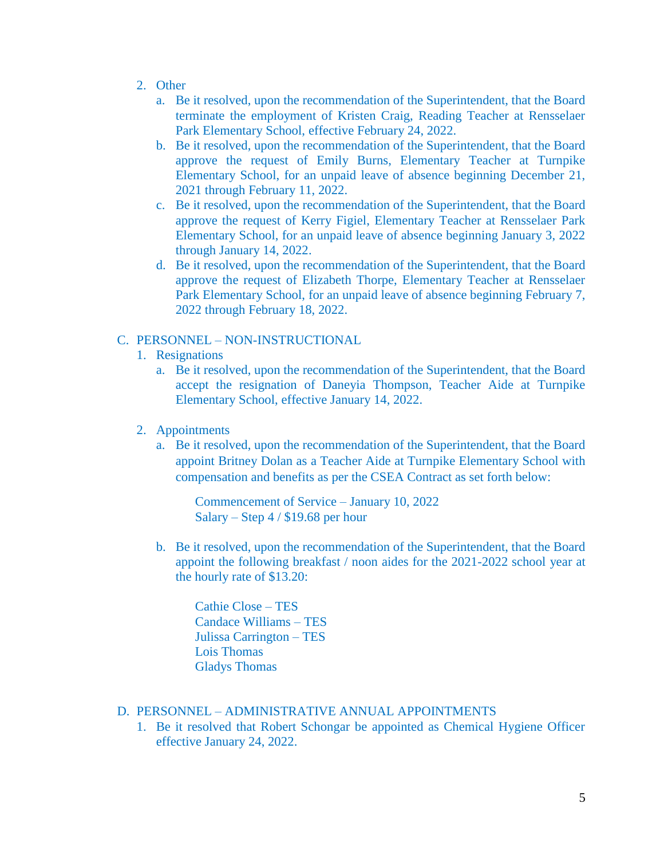- 2. Other
	- a. Be it resolved, upon the recommendation of the Superintendent, that the Board terminate the employment of Kristen Craig, Reading Teacher at Rensselaer Park Elementary School, effective February 24, 2022.
	- b. Be it resolved, upon the recommendation of the Superintendent, that the Board approve the request of Emily Burns, Elementary Teacher at Turnpike Elementary School, for an unpaid leave of absence beginning December 21, 2021 through February 11, 2022.
	- c. Be it resolved, upon the recommendation of the Superintendent, that the Board approve the request of Kerry Figiel, Elementary Teacher at Rensselaer Park Elementary School, for an unpaid leave of absence beginning January 3, 2022 through January 14, 2022.
	- d. Be it resolved, upon the recommendation of the Superintendent, that the Board approve the request of Elizabeth Thorpe, Elementary Teacher at Rensselaer Park Elementary School, for an unpaid leave of absence beginning February 7, 2022 through February 18, 2022.

#### C. PERSONNEL – NON-INSTRUCTIONAL

- 1. Resignations
	- a. Be it resolved, upon the recommendation of the Superintendent, that the Board accept the resignation of Daneyia Thompson, Teacher Aide at Turnpike Elementary School, effective January 14, 2022.
- 2. Appointments
	- a. Be it resolved, upon the recommendation of the Superintendent, that the Board appoint Britney Dolan as a Teacher Aide at Turnpike Elementary School with compensation and benefits as per the CSEA Contract as set forth below:

Commencement of Service – January 10, 2022 Salary – Step 4 / \$19.68 per hour

b. Be it resolved, upon the recommendation of the Superintendent, that the Board appoint the following breakfast / noon aides for the 2021-2022 school year at the hourly rate of \$13.20:

Cathie Close – TES Candace Williams – TES Julissa Carrington – TES Lois Thomas Gladys Thomas

# D. PERSONNEL – ADMINISTRATIVE ANNUAL APPOINTMENTS

1. Be it resolved that Robert Schongar be appointed as Chemical Hygiene Officer effective January 24, 2022.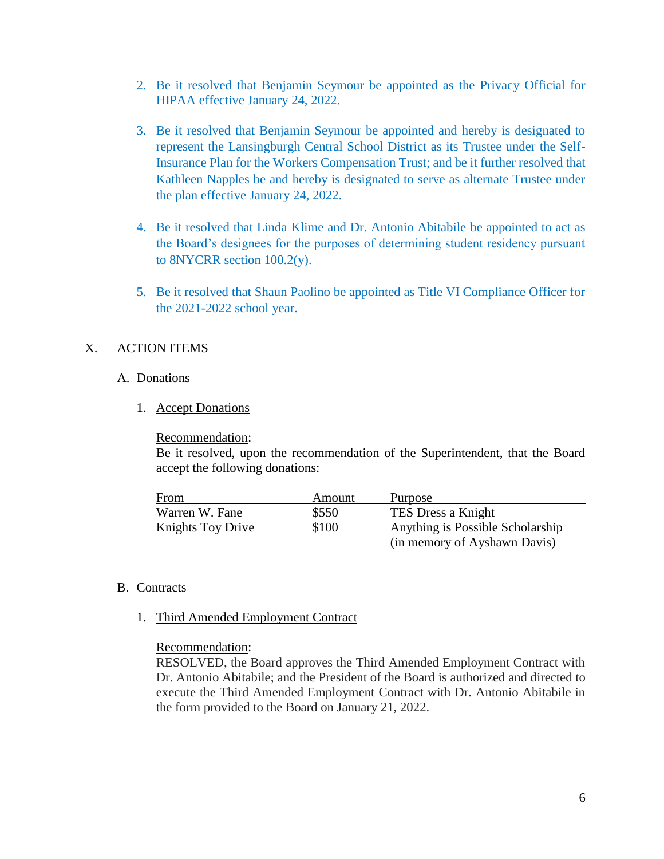- 2. Be it resolved that Benjamin Seymour be appointed as the Privacy Official for HIPAA effective January 24, 2022.
- 3. Be it resolved that Benjamin Seymour be appointed and hereby is designated to represent the Lansingburgh Central School District as its Trustee under the Self-Insurance Plan for the Workers Compensation Trust; and be it further resolved that Kathleen Napples be and hereby is designated to serve as alternate Trustee under the plan effective January 24, 2022.
- 4. Be it resolved that Linda Klime and Dr. Antonio Abitabile be appointed to act as the Board's designees for the purposes of determining student residency pursuant to 8NYCRR section 100.2(y).
- 5. Be it resolved that Shaun Paolino be appointed as Title VI Compliance Officer for the 2021-2022 school year.

## X. ACTION ITEMS

#### A. Donations

1. Accept Donations

#### Recommendation:

Be it resolved, upon the recommendation of the Superintendent, that the Board accept the following donations:

| From              | Amount | Purpose                          |
|-------------------|--------|----------------------------------|
| Warren W. Fane    | \$550  | TES Dress a Knight               |
| Knights Toy Drive | \$100  | Anything is Possible Scholarship |
|                   |        | (in memory of Ayshawn Davis)     |

# B. Contracts

1. Third Amended Employment Contract

# Recommendation:

RESOLVED, the Board approves the Third Amended Employment Contract with Dr. Antonio Abitabile; and the President of the Board is authorized and directed to execute the Third Amended Employment Contract with Dr. Antonio Abitabile in the form provided to the Board on January 21, 2022.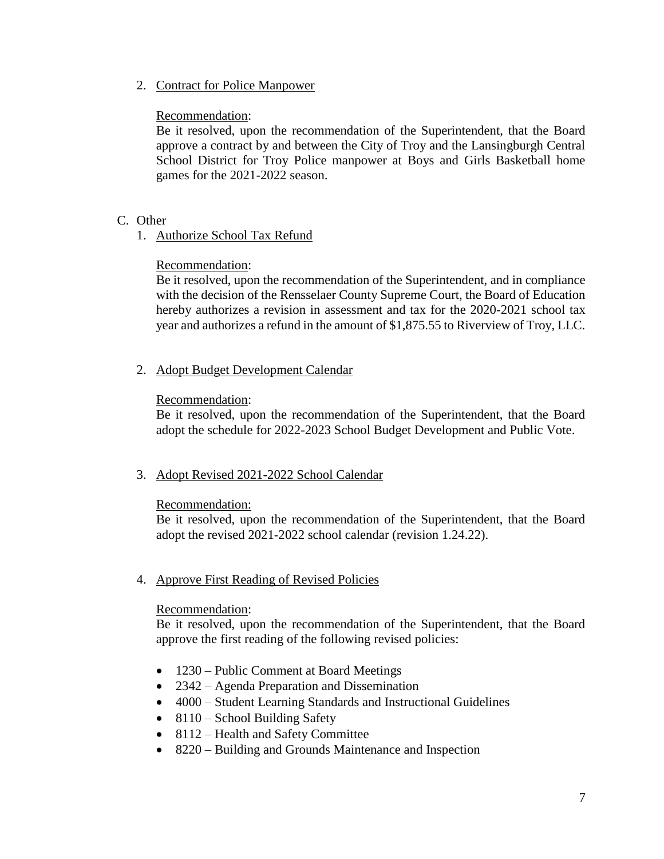2. Contract for Police Manpower

# Recommendation:

Be it resolved, upon the recommendation of the Superintendent, that the Board approve a contract by and between the City of Troy and the Lansingburgh Central School District for Troy Police manpower at Boys and Girls Basketball home games for the 2021-2022 season.

- C. Other
	- 1. Authorize School Tax Refund

# Recommendation:

Be it resolved, upon the recommendation of the Superintendent, and in compliance with the decision of the Rensselaer County Supreme Court, the Board of Education hereby authorizes a revision in assessment and tax for the 2020-2021 school tax year and authorizes a refund in the amount of \$1,875.55 to Riverview of Troy, LLC.

2. Adopt Budget Development Calendar

## Recommendation:

Be it resolved, upon the recommendation of the Superintendent, that the Board adopt the schedule for 2022-2023 School Budget Development and Public Vote.

#### 3. Adopt Revised 2021-2022 School Calendar

#### Recommendation:

Be it resolved, upon the recommendation of the Superintendent, that the Board adopt the revised 2021-2022 school calendar (revision 1.24.22).

# 4. Approve First Reading of Revised Policies

#### Recommendation:

Be it resolved, upon the recommendation of the Superintendent, that the Board approve the first reading of the following revised policies:

- 1230 Public Comment at Board Meetings
- 2342 Agenda Preparation and Dissemination
- 4000 Student Learning Standards and Instructional Guidelines
- $\bullet$  8110 School Building Safety
- 8112 Health and Safety Committee
- 8220 Building and Grounds Maintenance and Inspection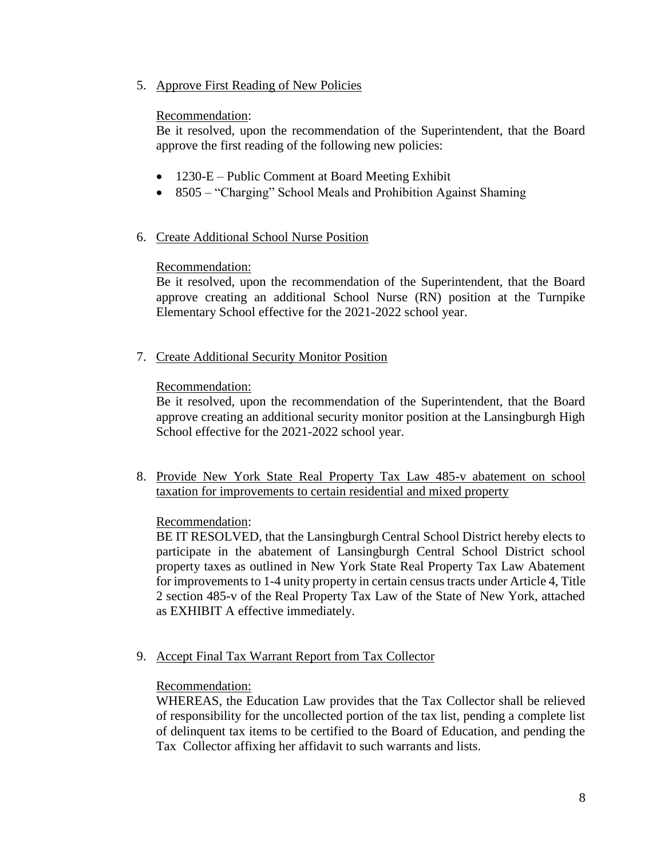5. Approve First Reading of New Policies

# Recommendation:

Be it resolved, upon the recommendation of the Superintendent, that the Board approve the first reading of the following new policies:

- 1230-E Public Comment at Board Meeting Exhibit
- 8505 "Charging" School Meals and Prohibition Against Shaming

# 6. Create Additional School Nurse Position

# Recommendation:

Be it resolved, upon the recommendation of the Superintendent, that the Board approve creating an additional School Nurse (RN) position at the Turnpike Elementary School effective for the 2021-2022 school year.

7. Create Additional Security Monitor Position

# Recommendation:

Be it resolved, upon the recommendation of the Superintendent, that the Board approve creating an additional security monitor position at the Lansingburgh High School effective for the 2021-2022 school year.

8. Provide New York State Real Property Tax Law 485-v abatement on school taxation for improvements to certain residential and mixed property

# Recommendation:

BE IT RESOLVED, that the Lansingburgh Central School District hereby elects to participate in the abatement of Lansingburgh Central School District school property taxes as outlined in New York State Real Property Tax Law Abatement for improvements to 1-4 unity property in certain census tracts under Article 4, Title 2 section 485-v of the Real Property Tax Law of the State of New York, attached as EXHIBIT A effective immediately.

9. Accept Final Tax Warrant Report from Tax Collector

# Recommendation:

WHEREAS, the Education Law provides that the Tax Collector shall be relieved of responsibility for the uncollected portion of the tax list, pending a complete list of delinquent tax items to be certified to the Board of Education, and pending the Tax Collector affixing her affidavit to such warrants and lists.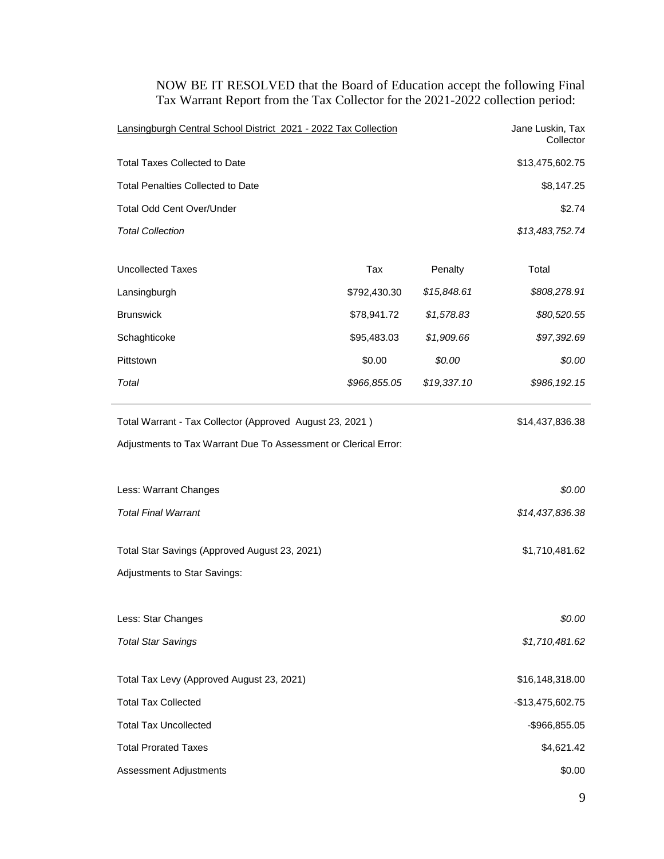Lansingburgh Central School District 2021 - 2022 Tax Collection Jane Luskin, Tax **Collector** Total Taxes Collected to Date  $$13,475,602.75$ Total Penalties Collected to Date  $$8,147.25$ Total Odd Cent Over/Under \$2.74 *Total Collection \$13,483,752.74* Uncollected Taxes **Tax** Tax **Penalty** Total Lansingburgh \$792,430.30 *\$15,848.61 \$808,278.91* Brunswick \$78,941.72 *\$1,578.83 \$80,520.55* Schaghticoke \$95,483.03 *\$1,909.66 \$97,392.69* Pittstown \$0.00 *\$0.00 \$0.00 Total \$966,855.05 \$19,337.10 \$986,192.15* Total Warrant - Tax Collector (Approved August 23, 2021) \$14,437,836.38 Adjustments to Tax Warrant Due To Assessment or Clerical Error: Less: Warrant Changes *\$0.00 Total Final Warrant \$14,437,836.38* Total Star Savings (Approved August 23, 2021) \$1,710,481.62 Adjustments to Star Savings: Less: Star Changes *\$0.00 Total Star Savings \$1,710,481.62* Total Tax Levy (Approved August 23, 2021) \$16,148,318.00 Total Tax Collected - 2008 - 12 and 2008 - 2019 - 2019 - 2019 - 2019 - 2019 - 2019 - 2019 - 2019 - 2019 - 2019 Total Tax Uncollected - 2006 - 2016 - 2017 - 2018 - 2019 - 2018 - 2019 - 2019 - 2019 - 2019 - 2019 - 2019 - 20

Total Prorated Taxes **\$4,621.42** 

Assessment Adjustments **\$0.00** \$0.00

NOW BE IT RESOLVED that the Board of Education accept the following Final Tax Warrant Report from the Tax Collector for the 2021-2022 collection period: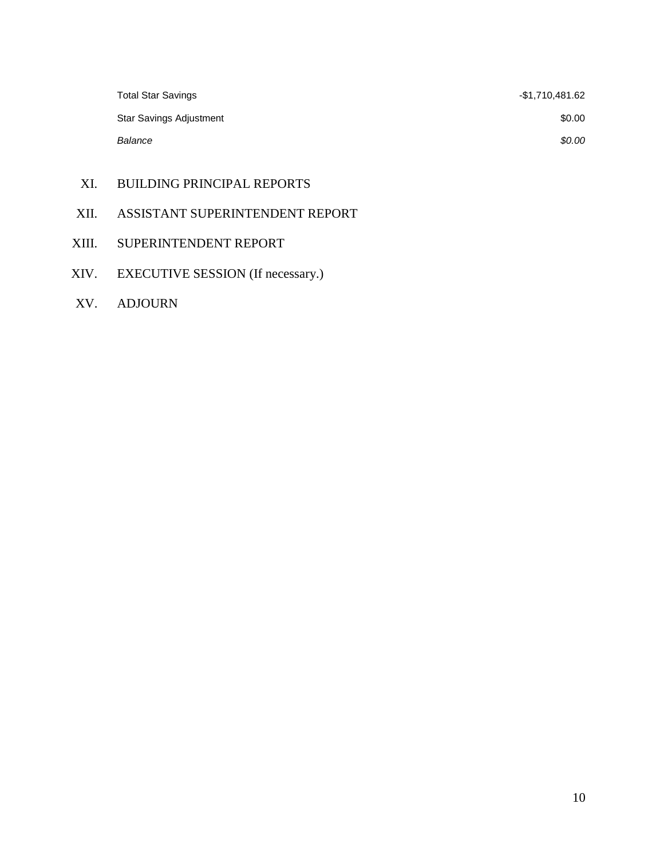| <b>Total Star Savings</b> | -\$1,710,481.62 |
|---------------------------|-----------------|
| Star Savings Adjustment   | \$0.00          |
| Balance                   | \$0.00          |

- XI. BUILDING PRINCIPAL REPORTS
- XII. ASSISTANT SUPERINTENDENT REPORT
- XIII. SUPERINTENDENT REPORT
- XIV. EXECUTIVE SESSION (If necessary.)
- XV. ADJOURN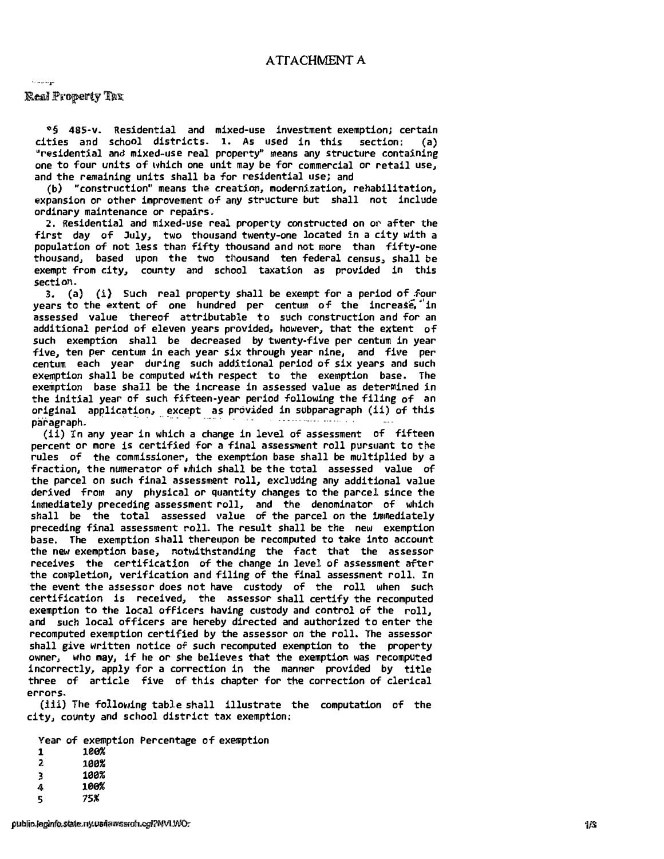$=$  are maps.

#### Real Property Tax

**�§** 485-v. Residential and mixed-use investment exemption) certai<sup>n</sup> cities and school districts. 1. As used in this section: (a) "residential and mixed-use real property" means any structure containing one to four units of which one unit may be for commercial or retail use, and the remaining units shall ba for residential use; and

(b) "construction" means the creation, modernization, rehabilitation, <sup>e</sup>xpansion or other improvement of any structure but shall not include ordinary maintenance or repairs.

2. Residential and mixed-use real property constructed on or after the first day of July, two thousand twenty-one located in a city with a population of not less than fifty thousand and not more than fifty-one thousand, based upon the two thousand ten federal census, shall be exempt from city, county and school taxation as provided in this section.

3. (a) (i) Such real property shall be exempt for a period of four years to the extent of one hundred per centum of the increase, in <sup>a</sup>ssessed value thereof attributable to such construction and for a<sup>n</sup> additional period of eleven years provided, however, that the extent of such exemption shall be decreased by twenty-five per centum in yea<sup>r</sup> five, ten per centum in each year six through year nine, and five pe<sup>r</sup> centum each year during such additional period of six years and such exemption shall be computed with respect to the exemption base. The exemption base shall be the increase in assessed value as determined in the initial year of such fifteen-year period following the filing of an  $\bf{original}$  application, except as provided in subparagraph (ii) of this paragraph.

 $(1\bar{1})$  in any year in which a change in level of assessment of fifteen percent or more is certified for a final assessment roll pursuant to the <sup>r</sup>ules of the commissioner, the exemption base shall be multiplied by a fraction, the numerator of which shall be the total assessed value of the parcel on such final assessment roll, excluding any additional value derived from any physical or quantity changes to the parcel since the immediately preceding assessment roll, and the denominator of which shall be the total assessed value of the parcel on the immediately preceding final assessment roll. The result shall be the new exemption base, The exemption shall thereupon be recomputed to take into account the new exemption base, notwithstanding the fact that the assessor receives the certification of the change in level of assessment afte<sup>r</sup> the completio<sup>n</sup>, verification and filing of the final assessment roll. In the event the assessor does not have custody of the roll when such certification is received, the assessor shall certify the recomputed exemption to the local officers having custody and control of the roll, <sup>a</sup><sup>n</sup>d such local officers are hereby directed and authorized to enter the recomputed exemption certified by the assessor on the roll. The assesso<sup>r</sup> shall give written notice of such recomputed exemption to the property owner, who may, if he or she believes that the exemption was recomputed incorrectly, apply for a correction in the manner provided by title three of article five of this chapter for the correction of clerical errors.

**(iii)** The follo,iing table shall illustrate the computation of the city, county and school district tax exemptio<sup>n</sup>:

Year of exemption Percentage of exemptio<sup>n</sup>

- $1 \t 100\%$
- 2 100%
- 3 100%
- $4$   $100%$
- 5 75%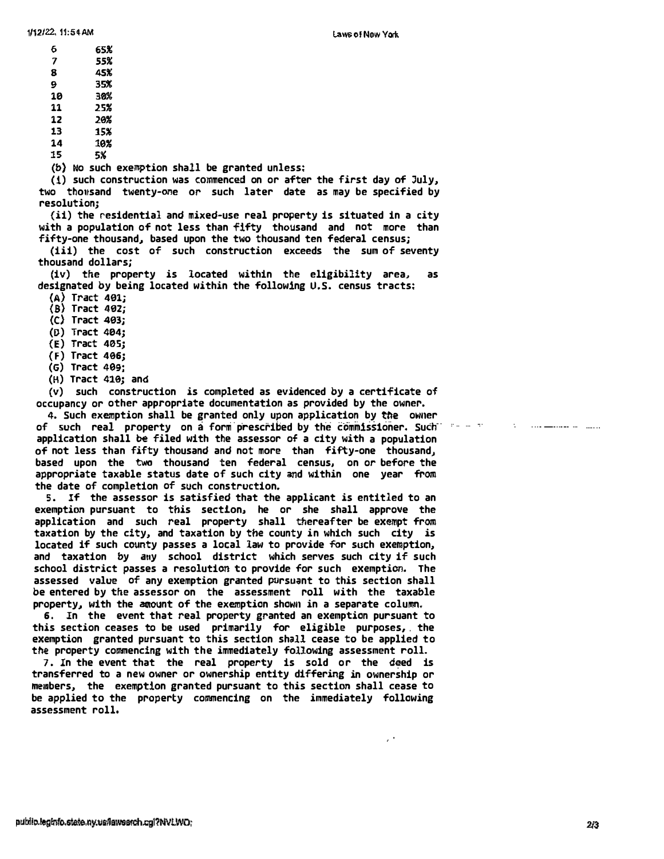$\epsilon^{-1}$ 

- **1/12/22, 11:54 AM**<br>6<br>7 **7** *55%*   $7$  55%<br>8 45%  $\begin{array}{ccc} 8 & & 256 \\ 8 & & 45\% \\ 9 & & 35\% \\ 20 & & 20\% \end{array}$ **10 30% 11 25% 12 20%** 
	-
	- 13 15%<br>14 10%
	- **14 16% 15 5%**

**(b) No such exemption shall be granted unless:** 

(1) such construction was commenced on or after the first day of July, **two thollsand twenty-Me or such later date as may be specified by resolution;** 

(ii) the residential and mixed-use real property is situated in a city with a population of not less than fifty thousand and not more than fifty-one thousand, based upon the two thousand ten federal census;

**(iii) the cost of such construction exceeds the sum of seventy thousand dollars;** 

(iv) the property is located within the eligibility area, **designated by being located within the following U.S. census tracts:** 

- **(A) Tract 461;**
- **(8) Tract 402;**
- **(C) Tract 463;**
- **(D) Tract 404;**
- **{E) Tract 405;**
- **{F) Tract 406;**
- **(G) Tract 469;**
- **(�) Tract 410; and**

**{v) such construction is completed as evidenced by a certificate of occupancy or other appropriate documentation as provided by the owner.** 

**4. Such exemption shall be granted only upon apPlication by tile owner of such real property on a form prescribed by the commissioner. Such**  $\frac{1}{2}$  **and**  $\frac{1}{2}$ application shall be filed with the assessor of a city with a population **of not less than fifty thousand and not more than fifty-one thousand, based upon the two thousand ten federal census, on or before the**  appropriate taxable status date of such city and within one year from **the date of completion of such construction.** 

**5. If the assessor is satisfied that the applicant is entitled to an exempti011 pursuant to this section, he or she shall approve the**  application and such real property shall thereafter be exempt from **taxation by the city, and taxation by the county in which such city is**  located if such county passes a local law to provide for such exemption, and taxation by any school district which serves such city if such school district passes a resolution to provide for such exemption. The assessed value of any exemption granted pursuant to this section shall **be entered by the assessor on the assessment roll with the taxable property, with the amount of the exemption shown in a separate column.** 

**6, In the event that real property granted an exemption pursuant to this section ceases to be used primarily for eligible purposes, . the exemption granted pursuant to this section shol1 cease to be applied to**  the property commencing with the immediately following assessment roll.

7. In the event that the real property is sold or the deed is **transferred to a new owner or ownership entity differing in ownership or**  members, the exemption granted pursuant to this section shall cease to **be applied to the property commencing on the immediately following assessment roll.** 

للمسار المستقف بمدرات كالمرار